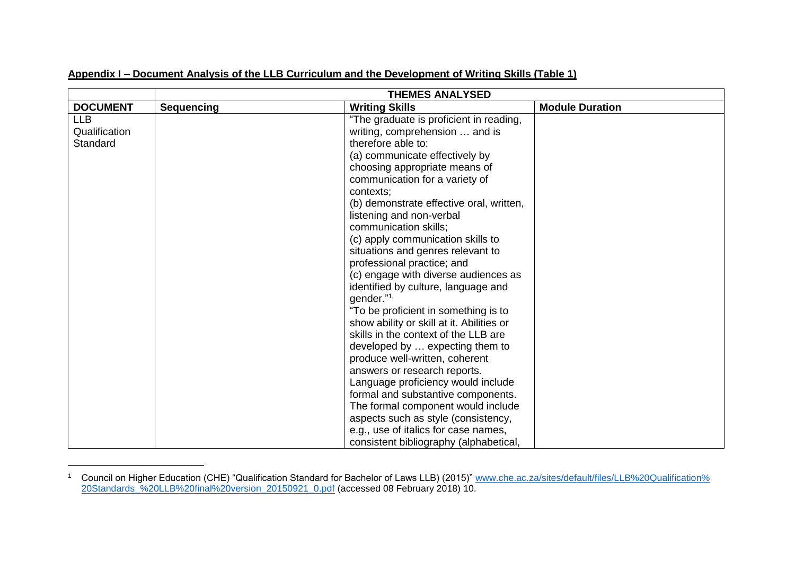|  | Appendix I – Document Analysis of the LLB Curriculum and the Development of Writing Skills (Table 1) |  |  |
|--|------------------------------------------------------------------------------------------------------|--|--|
|  |                                                                                                      |  |  |
|  |                                                                                                      |  |  |

| <b>DOCUMENT</b>                         | <b>Sequencing</b> | <b>Writing Skills</b>                                                                                                                                                                                                                                                                                                                                                                                                                                                                                                                                                                                                                                                                                                                                                                                                                                                                                                                                     | <b>Module Duration</b> |
|-----------------------------------------|-------------------|-----------------------------------------------------------------------------------------------------------------------------------------------------------------------------------------------------------------------------------------------------------------------------------------------------------------------------------------------------------------------------------------------------------------------------------------------------------------------------------------------------------------------------------------------------------------------------------------------------------------------------------------------------------------------------------------------------------------------------------------------------------------------------------------------------------------------------------------------------------------------------------------------------------------------------------------------------------|------------------------|
| <b>LLB</b><br>Qualification<br>Standard |                   | "The graduate is proficient in reading,<br>writing, comprehension  and is<br>therefore able to:<br>(a) communicate effectively by<br>choosing appropriate means of<br>communication for a variety of<br>contexts;<br>(b) demonstrate effective oral, written,<br>listening and non-verbal<br>communication skills;<br>(c) apply communication skills to<br>situations and genres relevant to<br>professional practice; and<br>(c) engage with diverse audiences as<br>identified by culture, language and<br>gender."1<br>"To be proficient in something is to<br>show ability or skill at it. Abilities or<br>skills in the context of the LLB are<br>developed by  expecting them to<br>produce well-written, coherent<br>answers or research reports.<br>Language proficiency would include<br>formal and substantive components.<br>The formal component would include<br>aspects such as style (consistency,<br>e.g., use of italics for case names, |                        |
|                                         |                   | consistent bibliography (alphabetical,                                                                                                                                                                                                                                                                                                                                                                                                                                                                                                                                                                                                                                                                                                                                                                                                                                                                                                                    |                        |

<sup>1</sup> Council on Higher Education (CHE) "Qualification Standard for Bachelor of Laws LLB) (2015)" [www.che.ac.za/sites/default/files/LLB%20Qualification%](http://www.che.ac.za/sites/default/files/LLB%20Qualification%20Standards_%20LLB%20final%20version_20150921_0.pdf) [20Standards\\_%20LLB%20final%20version\\_20150921\\_0.pdf](http://www.che.ac.za/sites/default/files/LLB%20Qualification%20Standards_%20LLB%20final%20version_20150921_0.pdf) (accessed 08 February 2018) 10.

 $\overline{a}$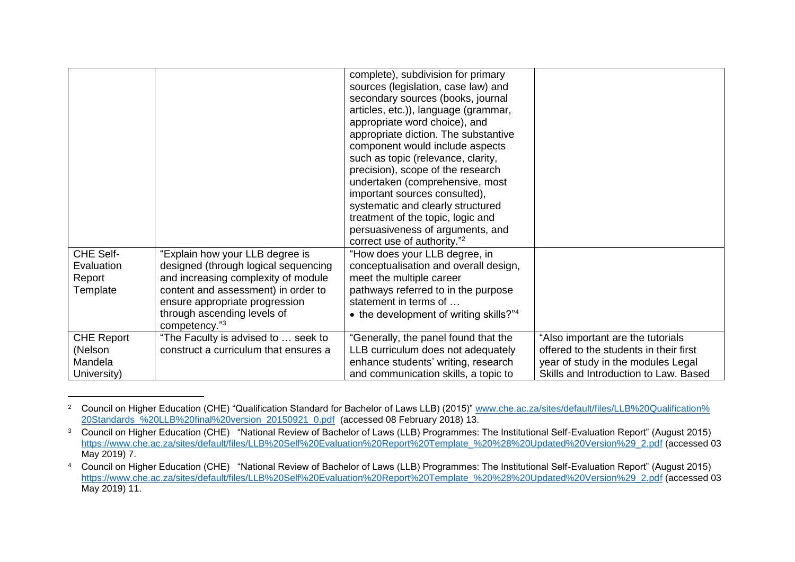| <b>CHE Self-</b><br>Evaluation<br>Report<br>Template | "Explain how your LLB degree is<br>designed (through logical sequencing<br>and increasing complexity of module<br>content and assessment) in order to<br>ensure appropriate progression | complete), subdivision for primary<br>sources (legislation, case law) and<br>secondary sources (books, journal<br>articles, etc.)), language (grammar,<br>appropriate word choice), and<br>appropriate diction. The substantive<br>component would include aspects<br>such as topic (relevance, clarity,<br>precision), scope of the research<br>undertaken (comprehensive, most<br>important sources consulted),<br>systematic and clearly structured<br>treatment of the topic, logic and<br>persuasiveness of arguments, and<br>correct use of authority." <sup>2</sup><br>"How does your LLB degree, in<br>conceptualisation and overall design,<br>meet the multiple career<br>pathways referred to in the purpose<br>statement in terms of |                                                                             |
|------------------------------------------------------|-----------------------------------------------------------------------------------------------------------------------------------------------------------------------------------------|--------------------------------------------------------------------------------------------------------------------------------------------------------------------------------------------------------------------------------------------------------------------------------------------------------------------------------------------------------------------------------------------------------------------------------------------------------------------------------------------------------------------------------------------------------------------------------------------------------------------------------------------------------------------------------------------------------------------------------------------------|-----------------------------------------------------------------------------|
|                                                      | through ascending levels of<br>competency."3                                                                                                                                            | • the development of writing skills?"4                                                                                                                                                                                                                                                                                                                                                                                                                                                                                                                                                                                                                                                                                                           |                                                                             |
| <b>CHE Report</b>                                    | "The Faculty is advised to  seek to                                                                                                                                                     | "Generally, the panel found that the                                                                                                                                                                                                                                                                                                                                                                                                                                                                                                                                                                                                                                                                                                             | "Also important are the tutorials                                           |
| (Nelson<br>Mandela                                   | construct a curriculum that ensures a                                                                                                                                                   | LLB curriculum does not adequately                                                                                                                                                                                                                                                                                                                                                                                                                                                                                                                                                                                                                                                                                                               | offered to the students in their first                                      |
| University)                                          |                                                                                                                                                                                         | enhance students' writing, research<br>and communication skills, a topic to                                                                                                                                                                                                                                                                                                                                                                                                                                                                                                                                                                                                                                                                      | year of study in the modules Legal<br>Skills and Introduction to Law. Based |

<sup>&</sup>lt;sup>2</sup> Council on Higher Education (CHE) "Qualification Standard for Bachelor of Laws LLB) (2015)" [www.che.ac.za/sites/default/files/LLB%20Qualification%](http://www.che.ac.za/sites/default/files/LLB%20Qualification%20Standards_%20LLB%20final%20version_20150921_0.pdf) [20Standards\\_%20LLB%20final%20version\\_20150921\\_0.pdf](http://www.che.ac.za/sites/default/files/LLB%20Qualification%20Standards_%20LLB%20final%20version_20150921_0.pdf) (accessed 08 February 2018) 13.

 $\overline{a}$ 

<sup>&</sup>lt;sup>3</sup> Council on Higher Education (CHE) "National Review of Bachelor of Laws (LLB) Programmes: The Institutional Self-Evaluation Report" (August 2015) [https://www.che.ac.za/sites/default/files/LLB%20Self%20Evaluation%20Report%20Template\\_%20%28%20Updated%20Version%29\\_2.pdf](https://www.che.ac.za/sites/default/files/LLB%20Self%20Evaluation%20Report%20Template_%20%28%20Updated%20Version%29_2.pdf) (accessed 03 May 2019) 7.

<sup>4</sup> Council on Higher Education (CHE) "National Review of Bachelor of Laws (LLB) Programmes: The Institutional Self-Evaluation Report" (August 2015) [https://www.che.ac.za/sites/default/files/LLB%20Self%20Evaluation%20Report%20Template\\_%20%28%20Updated%20Version%29\\_2.pdf](https://www.che.ac.za/sites/default/files/LLB%20Self%20Evaluation%20Report%20Template_%20%28%20Updated%20Version%29_2.pdf) (accessed 03 May 2019) 11.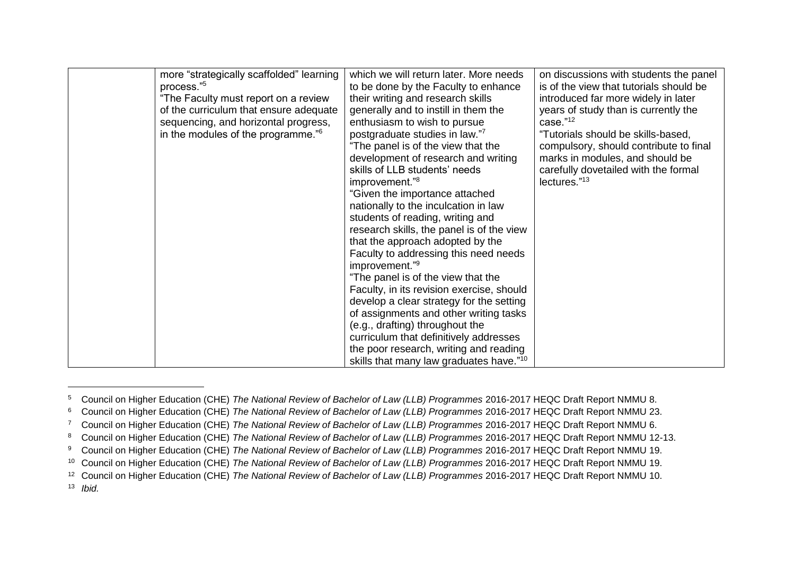| more "strategically scaffolded" learning<br>process." <sup>5</sup>                                                                                                       | which we will return later. More needs<br>to be done by the Faculty to enhance                                                                                                                                                                                                                                                                                                                                                                                                                                                                                                                                                                                                               | on discussions with students the panel<br>is of the view that tutorials should be                                                                                                                                                                                  |
|--------------------------------------------------------------------------------------------------------------------------------------------------------------------------|----------------------------------------------------------------------------------------------------------------------------------------------------------------------------------------------------------------------------------------------------------------------------------------------------------------------------------------------------------------------------------------------------------------------------------------------------------------------------------------------------------------------------------------------------------------------------------------------------------------------------------------------------------------------------------------------|--------------------------------------------------------------------------------------------------------------------------------------------------------------------------------------------------------------------------------------------------------------------|
| "The Faculty must report on a review<br>of the curriculum that ensure adequate<br>sequencing, and horizontal progress,<br>in the modules of the programme." <sup>6</sup> | their writing and research skills<br>generally and to instill in them the<br>enthusiasm to wish to pursue<br>postgraduate studies in law."7<br>"The panel is of the view that the<br>development of research and writing<br>skills of LLB students' needs<br>improvement." <sup>8</sup><br>"Given the importance attached<br>nationally to the inculcation in law<br>students of reading, writing and<br>research skills, the panel is of the view<br>that the approach adopted by the<br>Faculty to addressing this need needs<br>improvement." <sup>9</sup><br>"The panel is of the view that the<br>Faculty, in its revision exercise, should<br>develop a clear strategy for the setting | introduced far more widely in later<br>years of study than is currently the<br>case."12<br>"Tutorials should be skills-based,<br>compulsory, should contribute to final<br>marks in modules, and should be<br>carefully dovetailed with the formal<br>lectures."13 |
|                                                                                                                                                                          | of assignments and other writing tasks<br>(e.g., drafting) throughout the<br>curriculum that definitively addresses<br>the poor research, writing and reading                                                                                                                                                                                                                                                                                                                                                                                                                                                                                                                                |                                                                                                                                                                                                                                                                    |
|                                                                                                                                                                          | skills that many law graduates have." <sup>10</sup>                                                                                                                                                                                                                                                                                                                                                                                                                                                                                                                                                                                                                                          |                                                                                                                                                                                                                                                                    |

<sup>5</sup> Council on Higher Education (CHE) *The National Review of Bachelor of Law (LLB) Programmes* 2016-2017 HEQC Draft Report NMMU 8.

 $\overline{a}$ 

<sup>6</sup> Council on Higher Education (CHE) *The National Review of Bachelor of Law (LLB) Programmes* 2016-2017 HEQC Draft Report NMMU 23.

<sup>7</sup> Council on Higher Education (CHE) *The National Review of Bachelor of Law (LLB) Programmes* 2016-2017 HEQC Draft Report NMMU 6.

<sup>8</sup> Council on Higher Education (CHE) *The National Review of Bachelor of Law (LLB) Programmes* 2016-2017 HEQC Draft Report NMMU 12-13.

<sup>9</sup> Council on Higher Education (CHE) *The National Review of Bachelor of Law (LLB) Programmes* 2016-2017 HEQC Draft Report NMMU 19.

<sup>10</sup> Council on Higher Education (CHE) *The National Review of Bachelor of Law (LLB) Programmes* 2016-2017 HEQC Draft Report NMMU 19.

<sup>12</sup> Council on Higher Education (CHE) *The National Review of Bachelor of Law (LLB) Programmes* 2016-2017 HEQC Draft Report NMMU 10.

<sup>13</sup> *Ibid.*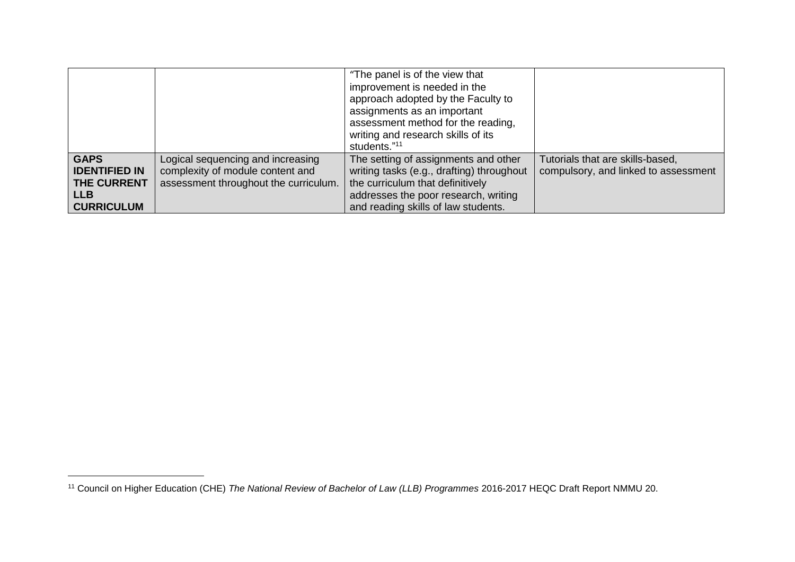|                      |                                       | "The panel is of the view that<br>improvement is needed in the<br>approach adopted by the Faculty to<br>assignments as an important<br>assessment method for the reading,<br>writing and research skills of its<br>students."11 |                                      |
|----------------------|---------------------------------------|---------------------------------------------------------------------------------------------------------------------------------------------------------------------------------------------------------------------------------|--------------------------------------|
| <b>GAPS</b>          | Logical sequencing and increasing     | The setting of assignments and other                                                                                                                                                                                            | Tutorials that are skills-based,     |
| <b>IDENTIFIED IN</b> | complexity of module content and      | writing tasks (e.g., drafting) throughout                                                                                                                                                                                       | compulsory, and linked to assessment |
| <b>THE CURRENT</b>   | assessment throughout the curriculum. | the curriculum that definitively                                                                                                                                                                                                |                                      |
| <b>LLB</b>           |                                       | addresses the poor research, writing                                                                                                                                                                                            |                                      |
| <b>CURRICULUM</b>    |                                       | and reading skills of law students.                                                                                                                                                                                             |                                      |

 $\overline{\phantom{a}}$ 

<sup>11</sup> Council on Higher Education (CHE) *The National Review of Bachelor of Law (LLB) Programmes* 2016-2017 HEQC Draft Report NMMU 20.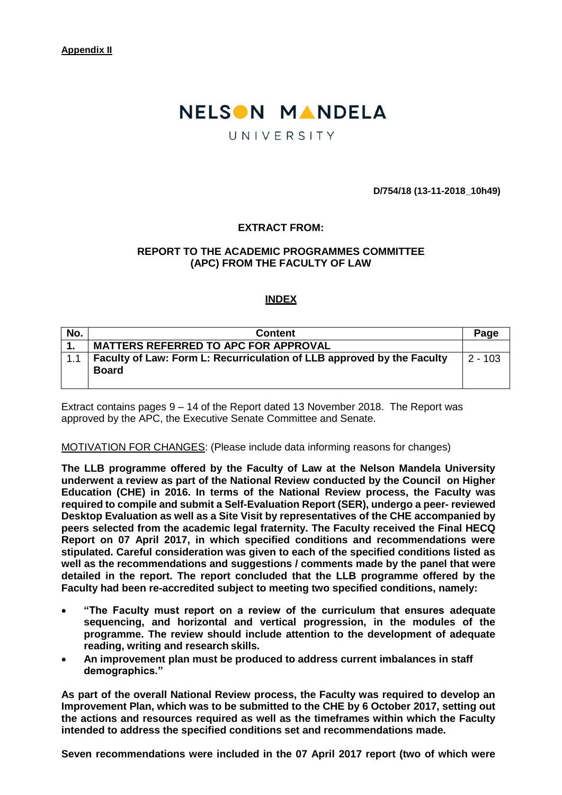# NELSON MANDELA

# UNIVERSITY

**D/754/18 (13-11-2018\_10h49)**

# **EXTRACT FROM:**

### **REPORT TO THE ACADEMIC PROGRAMMES COMMITTEE (APC) FROM THE FACULTY OF LAW**

### **INDEX**

| No. | <b>Content</b>                                                         | Page      |
|-----|------------------------------------------------------------------------|-----------|
|     | <b>MATTERS REFERRED TO APC FOR APPROVAL</b>                            |           |
| 1.1 | Faculty of Law: Form L: Recurriculation of LLB approved by the Faculty | $2 - 103$ |
|     | <b>Board</b>                                                           |           |
|     |                                                                        |           |

Extract contains pages 9 – 14 of the Report dated 13 November 2018. The Report was approved by the APC, the Executive Senate Committee and Senate.

#### MOTIVATION FOR CHANGES: (Please include data informing reasons for changes)

**The LLB programme offered by the Faculty of Law at the Nelson Mandela University underwent a review as part of the National Review conducted by the Council on Higher Education (CHE) in 2016. In terms of the National Review process, the Faculty was required to compile and submit a Self-Evaluation Report (SER), undergo a peer- reviewed Desktop Evaluation as well as a Site Visit by representatives of the CHE accompanied by peers selected from the academic legal fraternity. The Faculty received the Final HECQ Report on 07 April 2017, in which specified conditions and recommendations were stipulated. Careful consideration was given to each of the specified conditions listed as well as the recommendations and suggestions / comments made by the panel that were detailed in the report. The report concluded that the LLB programme offered by the Faculty had been re-accredited subject to meeting two specified conditions, namely:**

- **"The Faculty must report on a review of the curriculum that ensures adequate sequencing, and horizontal and vertical progression, in the modules of the programme. The review should include attention to the development of adequate reading, writing and research skills.**
- **An improvement plan must be produced to address current imbalances in staff demographics."**

**As part of the overall National Review process, the Faculty was required to develop an Improvement Plan, which was to be submitted to the CHE by 6 October 2017, setting out the actions and resources required as well as the timeframes within which the Faculty intended to address the specified conditions set and recommendations made.**

**Seven recommendations were included in the 07 April 2017 report (two of which were**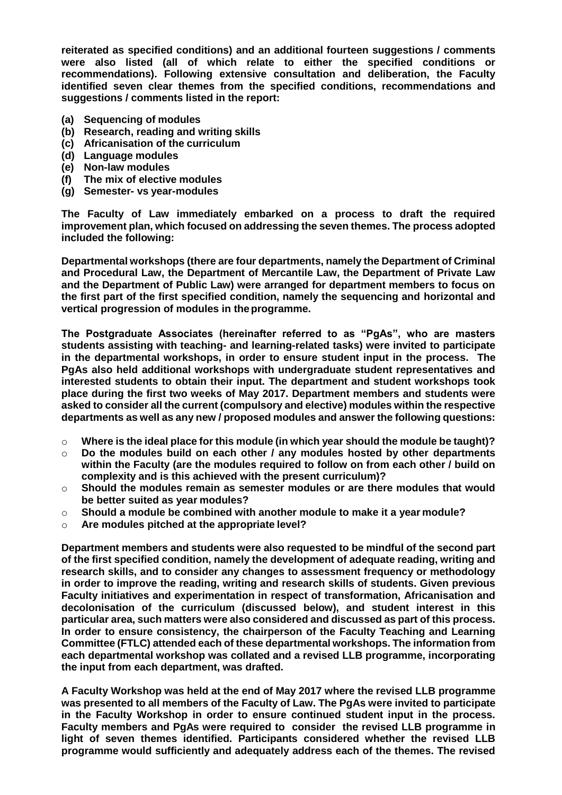**reiterated as specified conditions) and an additional fourteen suggestions / comments were also listed (all of which relate to either the specified conditions or recommendations). Following extensive consultation and deliberation, the Faculty identified seven clear themes from the specified conditions, recommendations and suggestions / comments listed in the report:**

- **(a) Sequencing of modules**
- **(b) Research, reading and writing skills**
- **(c) Africanisation of the curriculum**
- **(d) Language modules**
- **(e) Non-law modules**
- **(f) The mix of elective modules**
- **(g) Semester- vs year-modules**

**The Faculty of Law immediately embarked on a process to draft the required improvement plan, which focused on addressing the seven themes. The process adopted included the following:**

**Departmental workshops (there are four departments, namely the Department of Criminal and Procedural Law, the Department of Mercantile Law, the Department of Private Law and the Department of Public Law) were arranged for department members to focus on the first part of the first specified condition, namely the sequencing and horizontal and vertical progression of modules in theprogramme.**

**The Postgraduate Associates (hereinafter referred to as "PgAs", who are masters students assisting with teaching- and learning-related tasks) were invited to participate in the departmental workshops, in order to ensure student input in the process. The PgAs also held additional workshops with undergraduate student representatives and interested students to obtain their input. The department and student workshops took place during the first two weeks of May 2017. Department members and students were asked to consider all the current (compulsory and elective) modules within the respective departments as well as any new / proposed modules and answer the following questions:**

- o **Where is the ideal place for this module (in which year should the module be taught)?**
- o **Do the modules build on each other / any modules hosted by other departments within the Faculty (are the modules required to follow on from each other / build on complexity and is this achieved with the present curriculum)?**
- o **Should the modules remain as semester modules or are there modules that would be better suited as year modules?**
- o **Should a module be combined with another module to make it a year module?**
- o **Are modules pitched at the appropriate level?**

**Department members and students were also requested to be mindful of the second part of the first specified condition, namely the development of adequate reading, writing and research skills, and to consider any changes to assessment frequency or methodology in order to improve the reading, writing and research skills of students. Given previous Faculty initiatives and experimentation in respect of transformation, Africanisation and decolonisation of the curriculum (discussed below), and student interest in this particular area, such matters were also considered and discussed as part of this process. In order to ensure consistency, the chairperson of the Faculty Teaching and Learning Committee (FTLC) attended each of these departmental workshops. The information from each departmental workshop was collated and a revised LLB programme, incorporating the input from each department, was drafted.**

**A Faculty Workshop was held at the end of May 2017 where the revised LLB programme was presented to all members of the Faculty of Law. The PgAs were invited to participate in the Faculty Workshop in order to ensure continued student input in the process. Faculty members and PgAs were required to consider the revised LLB programme in light of seven themes identified. Participants considered whether the revised LLB programme would sufficiently and adequately address each of the themes. The revised**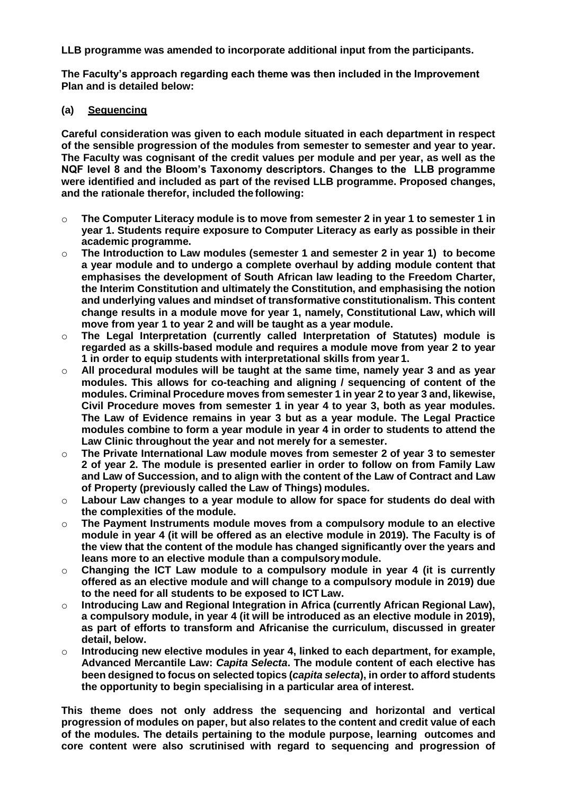**LLB programme was amended to incorporate additional input from the participants.**

**The Faculty's approach regarding each theme was then included in the Improvement Plan and is detailed below:**

# **(a) Sequencing**

**Careful consideration was given to each module situated in each department in respect of the sensible progression of the modules from semester to semester and year to year. The Faculty was cognisant of the credit values per module and per year, as well as the NQF level 8 and the Bloom's Taxonomy descriptors. Changes to the LLB programme were identified and included as part of the revised LLB programme. Proposed changes, and the rationale therefor, included the following:**

- o **The Computer Literacy module is to move from semester 2 in year 1 to semester 1 in year 1. Students require exposure to Computer Literacy as early as possible in their academic programme.**
- o **The Introduction to Law modules (semester 1 and semester 2 in year 1) to become a year module and to undergo a complete overhaul by adding module content that emphasises the development of South African law leading to the Freedom Charter, the Interim Constitution and ultimately the Constitution, and emphasising the notion and underlying values and mindset of transformative constitutionalism. This content change results in a module move for year 1, namely, Constitutional Law, which will move from year 1 to year 2 and will be taught as a year module.**
- o **The Legal Interpretation (currently called Interpretation of Statutes) module is regarded as a skills-based module and requires a module move from year 2 to year 1 in order to equip students with interpretational skills from year 1.**
- o **All procedural modules will be taught at the same time, namely year 3 and as year modules. This allows for co-teaching and aligning / sequencing of content of the modules. Criminal Procedure moves from semester 1 in year 2 to year 3 and, likewise, Civil Procedure moves from semester 1 in year 4 to year 3, both as year modules. The Law of Evidence remains in year 3 but as a year module. The Legal Practice modules combine to form a year module in year 4 in order to students to attend the Law Clinic throughout the year and not merely for a semester.**
- o **The Private International Law module moves from semester 2 of year 3 to semester 2 of year 2. The module is presented earlier in order to follow on from Family Law and Law of Succession, and to align with the content of the Law of Contract and Law of Property (previously called the Law of Things) modules.**
- o **Labour Law changes to a year module to allow for space for students do deal with the complexities of the module.**
- o **The Payment Instruments module moves from a compulsory module to an elective module in year 4 (it will be offered as an elective module in 2019). The Faculty is of the view that the content of the module has changed significantly over the years and leans more to an elective module than a compulsorymodule.**
- o **Changing the ICT Law module to a compulsory module in year 4 (it is currently offered as an elective module and will change to a compulsory module in 2019) due to the need for all students to be exposed to ICT Law.**
- o **Introducing Law and Regional Integration in Africa (currently African Regional Law), a compulsory module, in year 4 (it will be introduced as an elective module in 2019), as part of efforts to transform and Africanise the curriculum, discussed in greater detail, below.**
- o **Introducing new elective modules in year 4, linked to each department, for example, Advanced Mercantile Law:** *Capita Selecta***. The module content of each elective has been designed to focus on selected topics (***capita selecta***), in order to afford students the opportunity to begin specialising in a particular area of interest.**

**This theme does not only address the sequencing and horizontal and vertical progression of modules on paper, but also relates to the content and credit value of each of the modules. The details pertaining to the module purpose, learning outcomes and core content were also scrutinised with regard to sequencing and progression of**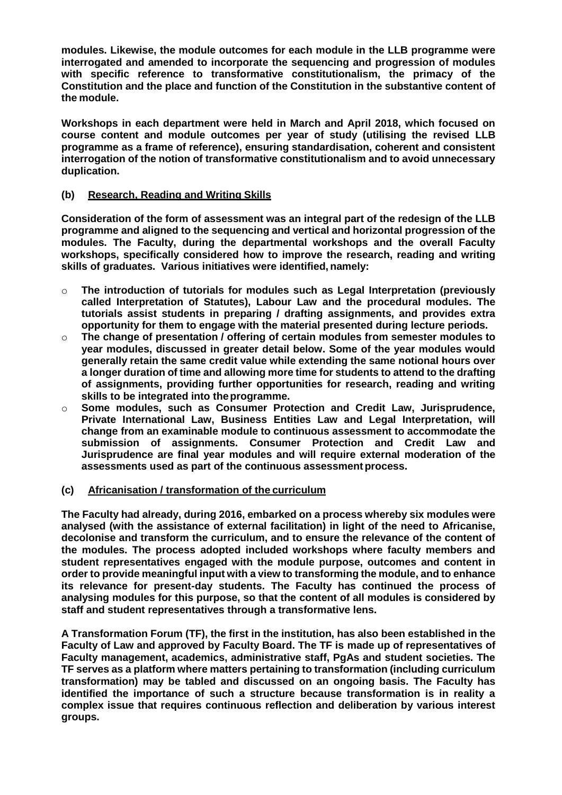**modules. Likewise, the module outcomes for each module in the LLB programme were interrogated and amended to incorporate the sequencing and progression of modules with specific reference to transformative constitutionalism, the primacy of the Constitution and the place and function of the Constitution in the substantive content of the module.**

**Workshops in each department were held in March and April 2018, which focused on course content and module outcomes per year of study (utilising the revised LLB programme as a frame of reference), ensuring standardisation, coherent and consistent interrogation of the notion of transformative constitutionalism and to avoid unnecessary duplication.**

# **(b) Research, Reading and Writing Skills**

**Consideration of the form of assessment was an integral part of the redesign of the LLB programme and aligned to the sequencing and vertical and horizontal progression of the modules. The Faculty, during the departmental workshops and the overall Faculty workshops, specifically considered how to improve the research, reading and writing skills of graduates. Various initiatives were identified, namely:**

- o **The introduction of tutorials for modules such as Legal Interpretation (previously called Interpretation of Statutes), Labour Law and the procedural modules. The tutorials assist students in preparing / drafting assignments, and provides extra opportunity for them to engage with the material presented during lecture periods.**
- o **The change of presentation / offering of certain modules from semester modules to year modules, discussed in greater detail below. Some of the year modules would generally retain the same credit value while extending the same notional hours over a longer duration of time and allowing more time for students to attend to the drafting of assignments, providing further opportunities for research, reading and writing skills to be integrated into theprogramme.**
- o **Some modules, such as Consumer Protection and Credit Law, Jurisprudence, Private International Law, Business Entities Law and Legal Interpretation, will change from an examinable module to continuous assessment to accommodate the submission of assignments. Consumer Protection and Credit Law and Jurisprudence are final year modules and will require external moderation of the assessments used as part of the continuous assessment process.**

# **(c) Africanisation / transformation of the curriculum**

**The Faculty had already, during 2016, embarked on a process whereby six modules were analysed (with the assistance of external facilitation) in light of the need to Africanise, decolonise and transform the curriculum, and to ensure the relevance of the content of the modules. The process adopted included workshops where faculty members and student representatives engaged with the module purpose, outcomes and content in order to provide meaningful input with a view to transforming the module, and to enhance its relevance for present-day students. The Faculty has continued the process of analysing modules for this purpose, so that the content of all modules is considered by staff and student representatives through a transformative lens.**

**A Transformation Forum (TF), the first in the institution, has also been established in the Faculty of Law and approved by Faculty Board. The TF is made up of representatives of Faculty management, academics, administrative staff, PgAs and student societies. The TF serves as a platform where matters pertaining to transformation (including curriculum transformation) may be tabled and discussed on an ongoing basis. The Faculty has identified the importance of such a structure because transformation is in reality a complex issue that requires continuous reflection and deliberation by various interest groups.**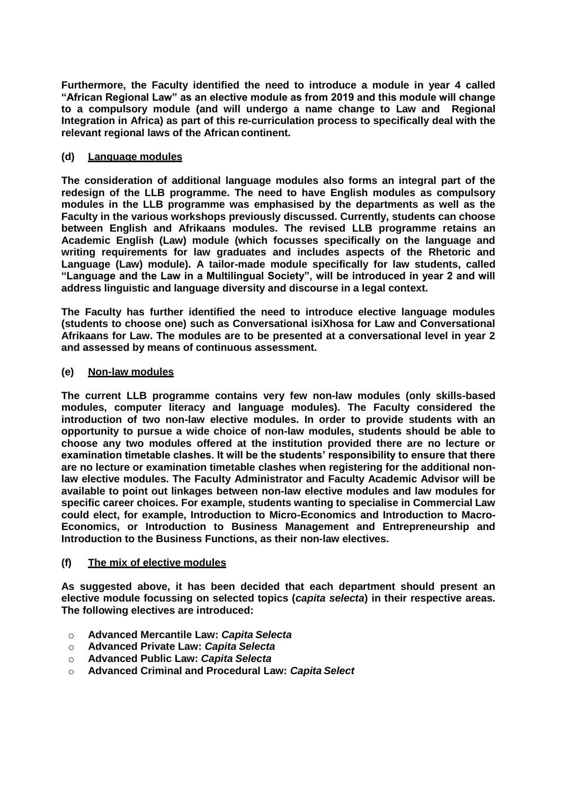**Furthermore, the Faculty identified the need to introduce a module in year 4 called "African Regional Law" as an elective module as from 2019 and this module will change to a compulsory module (and will undergo a name change to Law and Regional Integration in Africa) as part of this re-curriculation process to specifically deal with the relevant regional laws of the African continent.**

### **(d) Language modules**

**The consideration of additional language modules also forms an integral part of the redesign of the LLB programme. The need to have English modules as compulsory modules in the LLB programme was emphasised by the departments as well as the Faculty in the various workshops previously discussed. Currently, students can choose between English and Afrikaans modules. The revised LLB programme retains an Academic English (Law) module (which focusses specifically on the language and writing requirements for law graduates and includes aspects of the Rhetoric and Language (Law) module). A tailor-made module specifically for law students, called "Language and the Law in a Multilingual Society", will be introduced in year 2 and will address linguistic and language diversity and discourse in a legal context.**

**The Faculty has further identified the need to introduce elective language modules (students to choose one) such as Conversational isiXhosa for Law and Conversational Afrikaans for Law. The modules are to be presented at a conversational level in year 2 and assessed by means of continuous assessment.**

### **(e) Non-law modules**

**The current LLB programme contains very few non-law modules (only skills-based modules, computer literacy and language modules). The Faculty considered the introduction of two non-law elective modules. In order to provide students with an opportunity to pursue a wide choice of non-law modules, students should be able to choose any two modules offered at the institution provided there are no lecture or examination timetable clashes. It will be the students' responsibility to ensure that there are no lecture or examination timetable clashes when registering for the additional nonlaw elective modules. The Faculty Administrator and Faculty Academic Advisor will be available to point out linkages between non-law elective modules and law modules for specific career choices. For example, students wanting to specialise in Commercial Law could elect, for example, Introduction to Micro-Economics and Introduction to Macro-Economics, or Introduction to Business Management and Entrepreneurship and Introduction to the Business Functions, as their non-law electives.**

# **(f) The mix of elective modules**

**As suggested above, it has been decided that each department should present an elective module focussing on selected topics (***capita selecta***) in their respective areas. The following electives are introduced:**

- o **Advanced Mercantile Law:** *Capita Selecta*
- o **Advanced Private Law:** *Capita Selecta*
- o **Advanced Public Law:** *Capita Selecta*
- o **Advanced Criminal and Procedural Law:** *Capita Select*